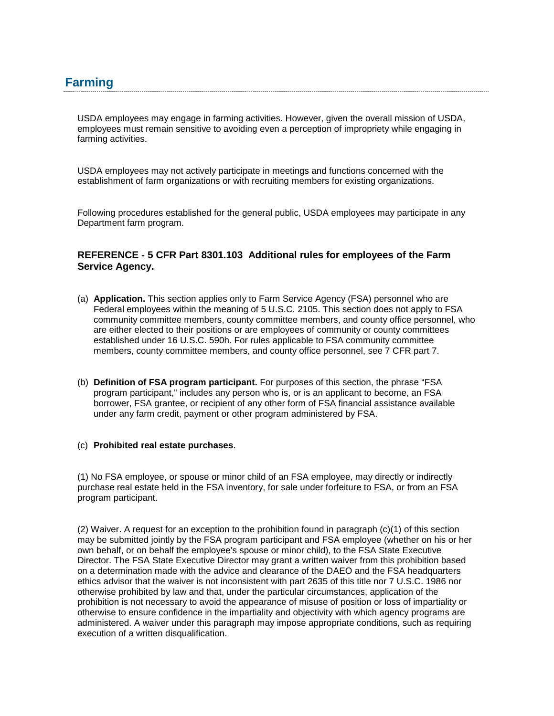USDA employees may engage in farming activities. However, given the overall mission of USDA, employees must remain sensitive to avoiding even a perception of impropriety while engaging in farming activities.

USDA employees may not actively participate in meetings and functions concerned with the establishment of farm organizations or with recruiting members for existing organizations.

Following procedures established for the general public, USDA employees may participate in any Department farm program.

## **REFERENCE - 5 CFR Part 8301.103 Additional rules for employees of the Farm Service Agency.**

- (a) **Application.** This section applies only to Farm Service Agency (FSA) personnel who are Federal employees within the meaning of 5 U.S.C. 2105. This section does not apply to FSA community committee members, county committee members, and county office personnel, who are either elected to their positions or are employees of community or county committees established under 16 U.S.C. 590h. For rules applicable to FSA community committee members, county committee members, and county office personnel, see 7 CFR part 7.
- (b) **Definition of FSA program participant.** For purposes of this section, the phrase "FSA program participant," includes any person who is, or is an applicant to become, an FSA borrower, FSA grantee, or recipient of any other form of FSA financial assistance available under any farm credit, payment or other program administered by FSA.

## (c) **Prohibited real estate purchases**.

(1) No FSA employee, or spouse or minor child of an FSA employee, may directly or indirectly purchase real estate held in the FSA inventory, for sale under forfeiture to FSA, or from an FSA program participant.

(2) Waiver. A request for an exception to the prohibition found in paragraph (c)(1) of this section may be submitted jointly by the FSA program participant and FSA employee (whether on his or her own behalf, or on behalf the employee's spouse or minor child), to the FSA State Executive Director. The FSA State Executive Director may grant a written waiver from this prohibition based on a determination made with the advice and clearance of the DAEO and the FSA headquarters ethics advisor that the waiver is not inconsistent with part 2635 of this title nor 7 U.S.C. 1986 nor otherwise prohibited by law and that, under the particular circumstances, application of the prohibition is not necessary to avoid the appearance of misuse of position or loss of impartiality or otherwise to ensure confidence in the impartiality and objectivity with which agency programs are administered. A waiver under this paragraph may impose appropriate conditions, such as requiring execution of a written disqualification.